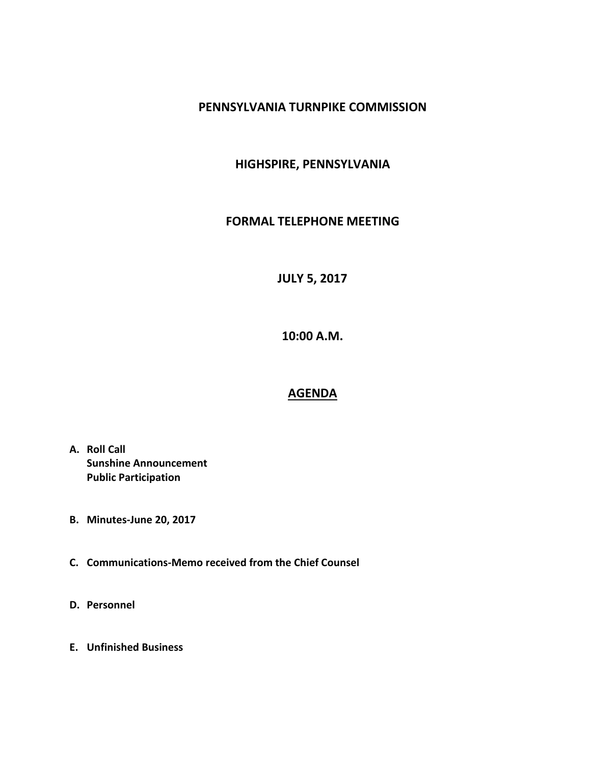## **PENNSYLVANIA TURNPIKE COMMISSION**

## **HIGHSPIRE, PENNSYLVANIA**

## **FORMAL TELEPHONE MEETING**

**JULY 5, 2017**

**10:00 A.M.**

## **AGENDA**

- **A. Roll Call Sunshine Announcement Public Participation**
- **B. Minutes-June 20, 2017**
- **C. Communications-Memo received from the Chief Counsel**
- **D. Personnel**
- **E. Unfinished Business**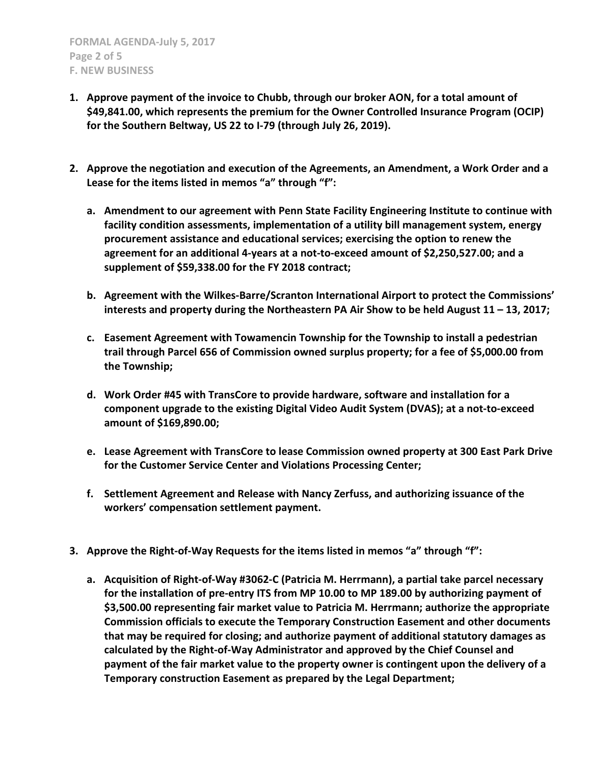- **1. Approve payment of the invoice to Chubb, through our broker AON, for a total amount of \$49,841.00, which represents the premium for the Owner Controlled Insurance Program (OCIP) for the Southern Beltway, US 22 to I-79 (through July 26, 2019).**
- **2. Approve the negotiation and execution of the Agreements, an Amendment, a Work Order and a Lease for the items listed in memos "a" through "f":**
	- **a. Amendment to our agreement with Penn State Facility Engineering Institute to continue with facility condition assessments, implementation of a utility bill management system, energy procurement assistance and educational services; exercising the option to renew the agreement for an additional 4-years at a not-to-exceed amount of \$2,250,527.00; and a supplement of \$59,338.00 for the FY 2018 contract;**
	- **b. Agreement with the Wilkes-Barre/Scranton International Airport to protect the Commissions' interests and property during the Northeastern PA Air Show to be held August 11 – 13, 2017;**
	- **c. Easement Agreement with Towamencin Township for the Township to install a pedestrian trail through Parcel 656 of Commission owned surplus property; for a fee of \$5,000.00 from the Township;**
	- **d. Work Order #45 with TransCore to provide hardware, software and installation for a component upgrade to the existing Digital Video Audit System (DVAS); at a not-to-exceed amount of \$169,890.00;**
	- **e. Lease Agreement with TransCore to lease Commission owned property at 300 East Park Drive for the Customer Service Center and Violations Processing Center;**
	- **f. Settlement Agreement and Release with Nancy Zerfuss, and authorizing issuance of the workers' compensation settlement payment.**
- **3. Approve the Right-of-Way Requests for the items listed in memos "a" through "f":**
	- **a. Acquisition of Right-of-Way #3062-C (Patricia M. Herrmann), a partial take parcel necessary for the installation of pre-entry ITS from MP 10.00 to MP 189.00 by authorizing payment of \$3,500.00 representing fair market value to Patricia M. Herrmann; authorize the appropriate Commission officials to execute the Temporary Construction Easement and other documents that may be required for closing; and authorize payment of additional statutory damages as calculated by the Right-of-Way Administrator and approved by the Chief Counsel and payment of the fair market value to the property owner is contingent upon the delivery of a Temporary construction Easement as prepared by the Legal Department;**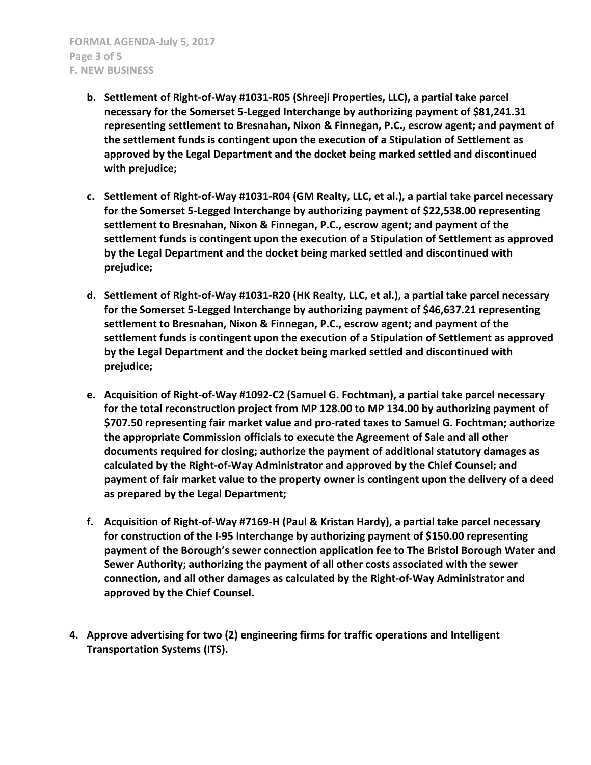- **b. Settlement of Right-of-Way #1031-R05 (Shreeji Properties, LLC), a partial take parcel necessary for the Somerset 5-Legged Interchange by authorizing payment of \$81,241.31 representing settlement to Bresnahan, Nixon & Finnegan, P.C., escrow agent; and payment of the settlement funds is contingent upon the execution of a Stipulation of Settlement as approved by the Legal Department and the docket being marked settled and discontinued with prejudice;**
- **c. Settlement of Right-of-Way #1031-R04 (GM Realty, LLC, et al.), a partial take parcel necessary for the Somerset 5-Legged Interchange by authorizing payment of \$22,538.00 representing settlement to Bresnahan, Nixon & Finnegan, P.C., escrow agent; and payment of the settlement funds is contingent upon the execution of a Stipulation of Settlement as approved by the Legal Department and the docket being marked settled and discontinued with prejudice;**
- **d. Settlement of Right-of-Way #1031-R20 (HK Realty, LLC, et al.), a partial take parcel necessary for the Somerset 5-Legged Interchange by authorizing payment of \$46,637.21 representing settlement to Bresnahan, Nixon & Finnegan, P.C., escrow agent; and payment of the settlement funds is contingent upon the execution of a Stipulation of Settlement as approved by the Legal Department and the docket being marked settled and discontinued with prejudice;**
- **e. Acquisition of Right-of-Way #1092-C2 (Samuel G. Fochtman), a partial take parcel necessary for the total reconstruction project from MP 128.00 to MP 134.00 by authorizing payment of \$707.50 representing fair market value and pro-rated taxes to Samuel G. Fochtman; authorize the appropriate Commission officials to execute the Agreement of Sale and all other documents required for closing; authorize the payment of additional statutory damages as calculated by the Right-of-Way Administrator and approved by the Chief Counsel; and payment of fair market value to the property owner is contingent upon the delivery of a deed as prepared by the Legal Department;**
- **f. Acquisition of Right-of-Way #7169-H (Paul & Kristan Hardy), a partial take parcel necessary for construction of the I-95 Interchange by authorizing payment of \$150.00 representing payment of the Borough's sewer connection application fee to The Bristol Borough Water and Sewer Authority; authorizing the payment of all other costs associated with the sewer connection, and all other damages as calculated by the Right-of-Way Administrator and approved by the Chief Counsel.**
- **4. Approve advertising for two (2) engineering firms for traffic operations and Intelligent Transportation Systems (ITS).**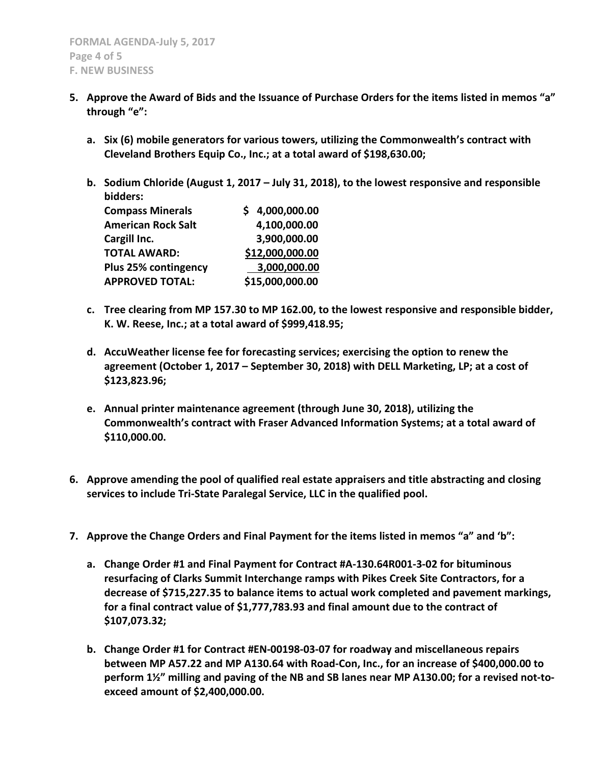- **5. Approve the Award of Bids and the Issuance of Purchase Orders for the items listed in memos "a" through "e":**
	- **a. Six (6) mobile generators for various towers, utilizing the Commonwealth's contract with Cleveland Brothers Equip Co., Inc.; at a total award of \$198,630.00;**
	- **b. Sodium Chloride (August 1, 2017 – July 31, 2018), to the lowest responsive and responsible bidders:**

| <b>Compass Minerals</b>   | \$4,000,000.00  |
|---------------------------|-----------------|
| <b>American Rock Salt</b> | 4,100,000.00    |
| Cargill Inc.              | 3,900,000.00    |
| <b>TOTAL AWARD:</b>       | \$12,000,000.00 |
| Plus 25% contingency      | 3,000,000.00    |
| <b>APPROVED TOTAL:</b>    | \$15,000,000.00 |

- **c. Tree clearing from MP 157.30 to MP 162.00, to the lowest responsive and responsible bidder, K. W. Reese, Inc.; at a total award of \$999,418.95;**
- **d. AccuWeather license fee for forecasting services; exercising the option to renew the agreement (October 1, 2017 – September 30, 2018) with DELL Marketing, LP; at a cost of \$123,823.96;**
- **e. Annual printer maintenance agreement (through June 30, 2018), utilizing the Commonwealth's contract with Fraser Advanced Information Systems; at a total award of \$110,000.00.**
- **6. Approve amending the pool of qualified real estate appraisers and title abstracting and closing services to include Tri-State Paralegal Service, LLC in the qualified pool.**
- **7. Approve the Change Orders and Final Payment for the items listed in memos "a" and 'b":**
	- **a. Change Order #1 and Final Payment for Contract #A-130.64R001-3-02 for bituminous resurfacing of Clarks Summit Interchange ramps with Pikes Creek Site Contractors, for a decrease of \$715,227.35 to balance items to actual work completed and pavement markings, for a final contract value of \$1,777,783.93 and final amount due to the contract of \$107,073.32;**
	- **b. Change Order #1 for Contract #EN-00198-03-07 for roadway and miscellaneous repairs between MP A57.22 and MP A130.64 with Road-Con, Inc., for an increase of \$400,000.00 to perform 1½" milling and paving of the NB and SB lanes near MP A130.00; for a revised not-toexceed amount of \$2,400,000.00.**